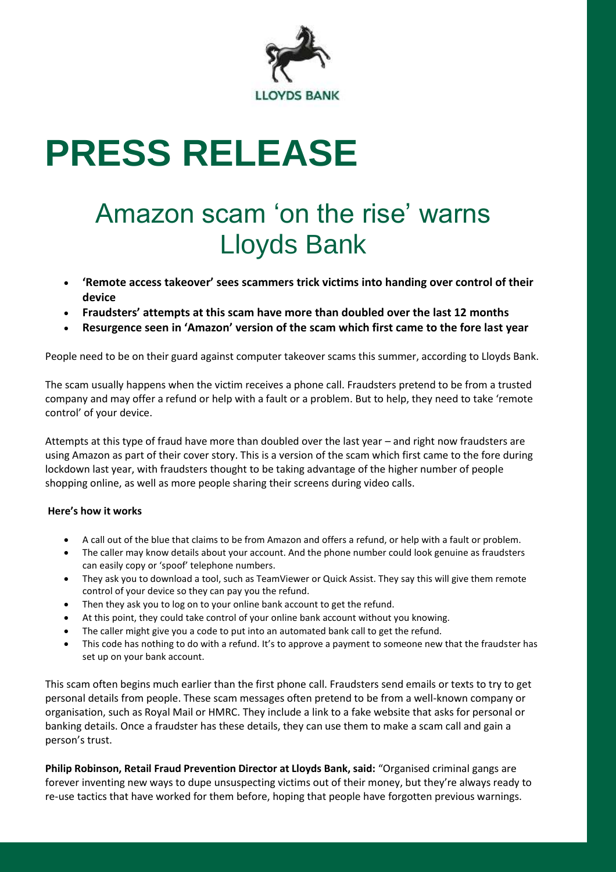

# **PRESS RELEASE**

## Amazon scam 'on the rise' warns Lloyds Bank

- **'Remote access takeover' sees scammers trick victims into handing over control of their device**
- **Fraudsters' attempts at this scam have more than doubled over the last 12 months**
- **Resurgence seen in 'Amazon' version of the scam which first came to the fore last year**

People need to be on their guard against computer takeover scams this summer, according to Lloyds Bank.

The scam usually happens when the victim receives a phone call. Fraudsters pretend to be from a trusted company and may offer a refund or help with a fault or a problem. But to help, they need to take 'remote control' of your device.

Attempts at this type of fraud have more than doubled over the last year – and right now fraudsters are using Amazon as part of their cover story. This is a version of the scam which first came to the fore during lockdown last year, with fraudsters thought to be taking advantage of the higher number of people shopping online, as well as more people sharing their screens during video calls.

#### **Here's how it works**

- A call out of the blue that claims to be from Amazon and offers a refund, or help with a fault or problem.
- The caller may know details about your account. And the phone number could look genuine as fraudsters can easily copy or 'spoof' telephone numbers.
- They ask you to download a tool, such as TeamViewer or Quick Assist. They say this will give them remote control of your device so they can pay you the refund.
- Then they ask you to log on to your online bank account to get the refund.
- At this point, they could take control of your online bank account without you knowing.
- The caller might give you a code to put into an automated bank call to get the refund.
- This code has nothing to do with a refund. It's to approve a payment to someone new that the fraudster has set up on your bank account.

This scam often begins much earlier than the first phone call. Fraudsters send emails or texts to try to get personal details from people. These scam messages often pretend to be from a well-known company or organisation, such as Royal Mail or HMRC. They include a link to a fake website that asks for personal or banking details. Once a fraudster has these details, they can use them to make a scam call and gain a person's trust.

**Philip Robinson, Retail Fraud Prevention Director at Lloyds Bank, said:** "Organised criminal gangs are forever inventing new ways to dupe unsuspecting victims out of their money, but they're always ready to re-use tactics that have worked for them before, hoping that people have forgotten previous warnings.